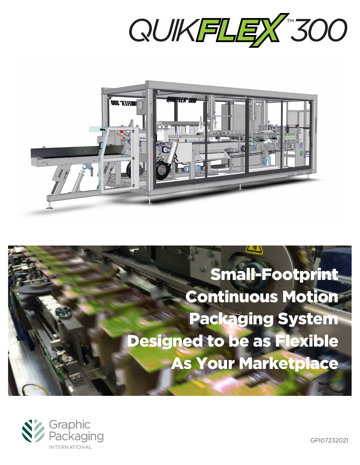



# Small-Footprint Continuous Motion Packaging System Designed to be as Flexible As Your Marketplace



GPI07232021